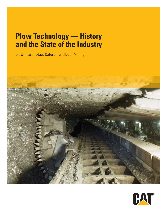# **Plow Technology — History and the State of the Industry**

Dr. Uli Paschedag, Caterpillar Global Mining



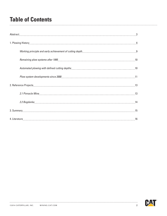### **Table of Contents**

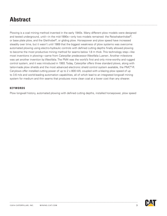### **Abstract**

Plowing is a coal mining method invented in the early 1940s. Many different plow models were designed and tested underground, until—in the mid-1990s—only two models remained: the Reisshakenhobel®, or base plate plow, and the Gleithobel®, or gliding plow. Horsepower and plow speed have increased steadily over time, but it wasn't until 1989 that the biggest weakness of plow systems was overcome: automated plowing using electro-hydraulic controls with defined cutting depths finally allowed plowing to become the most productive mining method for seams below 1.8 m thick. This technology step—like most inventions in plowing—came from Caterpillar predecessor Westfalia Luenen. Another milestone was yet another invention by Westfalia. The PM4 was the world's first and only mine-worthy and rugged control system, and it was introduced in 1993. Today, Caterpillar offers three standard plows, along with tailor-made plow shields and the most advanced electronic shield control system available, the PMC®-R. Cat plows offer installed cutting power of up to 2 x 800 kW, coupled with a blazing plow speed of up to 3.6 m/s and world-leading automation capabilities, all of which lead to an integrated longwall mining system for medium and thin seams that produces more clean coal at a lower cost than any shearer.

#### **KEYWORDS**

Plow longwall history, automated plowing with defined cutting depths, installed horsepower, plow speed

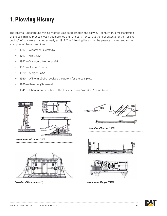The longwall underground mining method was established in the early 20<sup>th</sup> century. True mechanization of the coal mining process wasn't established until the early 1940s, but the first patents for the "slicing cutting" of coal were granted as early as 1912. The following list shows the patents granted and some examples of these inventions.

- 1912—Wissmann *(Germany)*
- 1917—Hirst *(UK)*
- 1922—Diancourt *(Netherlands)*
- 1927—Ducoer *(France)*
- 1929—Morgen *(USA)*
- 1930—Wilhelm Löbbe receives the patent for the coal plow
- 1935—Hammel *(Germany)*
- 1941—Ibbenbüren mine builds the first coal plow *(Inventor: Konrad Grebe)*



*Invention of Wissmann (1912)*



*Invention of Diancourt (1922) Invention of Morgan (1929)*



*Invention of Ducoer (1927)*



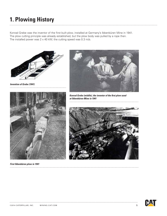Konrad Grebe was the inventor of the first built plow, installed at Germany's Ibbenbüren Mine in 1941. The plow cutting principle was already established, but the plow body was pulled by a rope then. The installed power was 2 x 40 kW; the cutting speed was 0.3 m/s.



*Invention of Grebe (1941)* 



*Konrad Grebe (middle), the inventor of the first plow used at Ibbenbüren Mine in 1941*





*First Ibbenbüren plow in 1941*

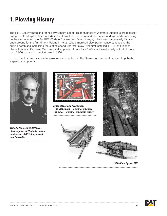The plow was invented and refined by Wilhelm Löbbe, chief engineer at Westfalia Luenen (a predecessor company of Caterpillar) back in 1947 in an attempt to modernize and mechanize underground coal mining. Löbbe also invented the PANZER-Förderer® or armored face conveyor, which was successfully installed underground for the first time in Poland in 1942. Löbbe improved plow performance by reducing the cutting depth and increasing the cutting speed. The 'fast plow' was first installed in 1949 at Friedrich-Heinrich mine in Germany. With an installed power of only 2 x 40 kW, it achieved a daily output of more than 1,000 tonnes for the first time in 1950.

In fact, this first truly successful plow was so popular that the German government decided to publish a special stamp for it.



*Wilhelm Löbbe (1890–1950) was chief engineer at Westfalia Luenen, predecessor of DBT, Bucyrus and now Caterpillar*



*Löbbe plow stamp (translation: "The Löbbe plow—helper of the miner. The miner—helper of the human race.")*







*Löbbe Plow System 1950*

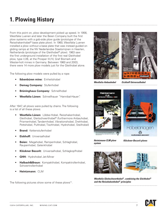From this point on, plow development picked up speed. In 1956, Westfalia Luenen and later the Beien Company built the first plow systems with a gob-side plow guide (prototype of the Reisshakenhobel® base plate plow). In 1960, Westfalia Luenen installed a plow without a base plate that was instead guided on gliding ramps at the NV Nederlandse Staatsmijnen in Heerlen, Netherlands (prototype of the Gleithobel® plow). 1963 saw the first underground installation of the first real Gleithobel plow, type I/26, at the Prosper III/IV, Graf Bismark and Wester-holt mines in Germany. Between 1960 and 2003, there were 14 more plow models just for the Gleithobel alone.

The following plow models were pulled by a rope:

- **• Ibbenbüren mine:** Einheitshobel
- **• Demag Company:** Stufenhobel
- **• Brüninghaus Company:** Schnellhobel
- **• Westfalia Lünen:** Schnellhauer "Hannibal-Hauer".

After 1947, all plows were pulled by chains. The following is a list of all these plows:

- **• Westfalia Lünen:** Löbbe-Hobel, Reisshakenhobel, Gleithobel, Gleitschwerthobel® (furthermore Anbauhobel, Prismenhobel, Tandemhobel, Vibrationshobel, Drehhobel, Pottshobel, Pulthobel, Tischhobel, Hydrohobel, Steilhobel)
- **Brand: Kettenstufenhobel**
- **• Eickhoff:** Universalhobel
- **• Beien:** Megahobel, Rampenhobel, Schlaghobel, Raupenhobel, Gelenkhobel
- **• Klöckner Becorit:** Universalhobel, Schlagkopfhobel
- **GHH:** Hydrohobel Jet-Miner
- **• Halbach&Braun:** Kompakthobel, Kompaktrollenhobel, Schwertrollenhobel
- **• Heintzmann:** CLM

The following pictures show some of these plows<sup>(1)</sup>.



*Westfalia Anbauhobel Eickhoff Universalhobel*





*system*

*Heintzmann CLM plow Klöckner-Becorit plows*





*Westfalia Gleitschwerthobel®, combining the Gleithobel® and the Reisshakenhobel® principles*

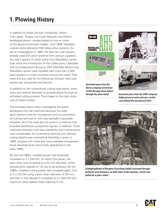In addition to these German companies, others from Japan, Russia, the Czech Republic and Poland developed plows—always based on one or more of the above mentioned models. Until 1956, Westfalia Luenen alone delivered 248 Löbbe plow systems. As per an investigation in 1965, the German coal industry already used 531 plow systems from various suppliers; the vast majority of which came from Westfalia Luenen. Ever since the introduction of the Löbbe plow, Caterpillar and its predecessors Bucyrus, DBT, Westfalia Becorit and Westfalia Luenen have installed well more than 2,000 plow systems in many countries around the world. They were and are used for the following minerals: hard coal, lignite coal, phosphate and bauxite.

In addition to the conventional cutting type plows, there were also several attempts to activate plows through an activated cutting process. The images to the right show two of these models.

The activated plows were investigated and partly developed into trial machines because the older plow systems had low horsepower and no automation, so cutting hard coal or rock was basically impossible. However, all of the trials did not result in a machine that provided satisfactory production figures. In addition, those machines showed much less availability, and maintenance was complicated. As incremental plowing with defined cutting depths was invented by Westfalia Luenen in 1989, coupled with more and more available horsepower, these developments were finally abandoned in the early 1990s.

By the mid-1980s, installed power had drastically increased to 2 x 250 kW. To match this power, the plow chain size increased to a 34 mm diameter, which allowed plow speeds of 1.8 m/s to be achieved. By the 1990s, installed cutting power had increased again, first to 2 x 315 kW using a plow chain diameter of 38 mm; and later in that decade it increased to 2 x 400 kW with maximum plow speed finally reaching 3 m/s.



*Activated plow from the Beien company (activation of bits through chain detour* 



*through the plow body) Activated plow from the GHH company (high-pressure water jets pre-cut the coal behind the mechanical bits)*



*Schlagkopfhobel of Bergbau-Forschung GmbH (activated through hydraulic pick hammers on both sides of the machine, which was pulled by a plow chain)*

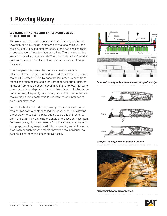#### **WORKING PRINCIPLE AND EARLY ACHIEVEMENT OF CUTTING DEPTH**

The working principle of plows has not really changed since its invention: the plow guide is attached to the face conveyor, and the plow body is pulled (first by ropes, later by an endless chain) in both directions from the face end drives. The conveyor drives are also located at the face ends. The plow body "slices" off the coal from the seam and loads it into the face conveyor through its shape.

After the plow has passed by the face conveyor and the attached plow guides are pushed forward, which was done until the late 1980s/early 1990s by constant low pressure push from standalone push beams and later from roof supports of different kinds, or from shield supports beginning in the 1970s. This led to inconstant cutting depths and an undulated face, which had to be corrected very frequently. In addition, production was limited as the average cutting depth was lower than the one intended to be cut per plow pass.

Further to the face end drives, plow systems are characterized by a horizon control system called "outrigger steering," allowing the operator to adjust the plow cutting to go straight forward, uphill or downhill by changing the angle of the face conveyor pan. For many years, plows also used a "block anchorage" system for two purposes: they keep the AFC from creeping and at the same time keep enough mechanical play between the individual line pans to allow them to be pushed over easily.



*Plow system setup and constant low-pressure push principle* 



*Outrigger steering plow horizon control system*



*Modern Cat block anchorage system*

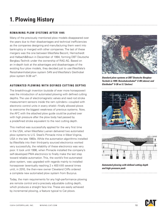#### **Remaining plow systems after 1995**

Many of the previously mentioned plow models disappeared over the years due to their disadvantages and technical inefficiencies as the companies designing and manufacturing them went into bankruptcy or merged with other companies. The last of these mergers was the one between Westfalia Becorit, Hemscheidt and Halbach&Braun in December of 1994, forming DBT Deutsche Bergbau-Technik under the ownership of RAG AG. Based on an in-depth look at the advantages and disadvantages of the existing four plow models, they decided just to use Westfalia's Reisshakenhobel plow system S4N and Westfalia's Gleithobel plow system 9-38 ve<sup>(2)</sup>.

#### **Automated plowing with defined cutting depths**

The breakthrough invention (outside of ever more horsepower) was the introduction of automated plowing with defined cutting depths. The use of electromagnetic valves and reed rod stroke measurement sensors inside the ram cylinders—coupled with electronic control units in every shield—finally allowed plows to overcome the biggest weakness of previous systems. Now, the AFC with the attached plow guide could be pushed over with high pressure after the plow body had passed by a predefined stroke equivalent to the next cutting depth.

This method was successfully applied for the very first time in the USA, when Westfalia Luenen delivered two automated plow systems to U.S. Steel's Pinnacle mine in West Virginia, USA in the late 1980s. While the automation algorithms installed by Westfalia into their third-party sourced electronics worked very successfully, the reliability of these electronics was very poor. It took until 1996, when Pinnacle installed the company's self-developed PM4 electronics to finally make the last step toward reliable automation. This, the world's first automated plow system, was upgraded with regards mainly to installed horsepower (eventually reaching 2 x 400 kW) several times until, in 2010, the then-new owner Cleveland Cliffs ordered a complete new automated plow system from Bucyrus.

Today, the main requirements for any high-performance plowing are remote control and a precisely adjustable cutting depth, which produces a straight face line. These are easily achieved by incremental plowing, a feature typical to Cat plows.



*Standard plow systems at DBT Deutsche Bergbau-Technik in 1995: Reisshakenhobel® S 4N (above) and Gleithobel® 9-38 ve 5.7 (below)* 





*Automated plowing with defined cutting depth and high-pressure push*

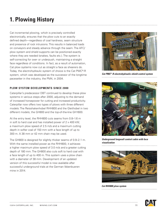Cat incremental plowing, which is precisely controlled electronically, ensures that the plow cuts to an exactly defined depth—regardless of coal hardness, seam structure and presence of rock intrusions. This results in balanced loads on conveyors and steady advance through the seam. The AFC/ plow system and shield supports can be positioned exactly where they are needed (snakes, faults etc.). The system is self-correcting for over- or underpush, maintaining a straight face regardless of conditions. In fact, as a result of automation, Cat plow systems now cut as straight a face as shearers do. Today, the electrohydraulic system of choice is the Cat PMC®-R system, which was developed as the successor of the longtime pacesetter in the industry, the PM4, in 2004.

#### **Plow system developments since 2000**

Caterpillar's predecessor DBT continued to develop these plow systems in various steps after 2000, adjusting to the demand of increased horsepower for cutting and increased productivity. Caterpillar now offers two types of plows with three different models: The Reisshakenhobel RHH800 and the Gleithobel in two different models; the GH800 and the top-of-the-line GH1600.

At the entry level, the RHH800 cuts seams from 0.8–1.6 m in soft to hard coal and has installed power of  $2 \times 400$  kW, a maximum plow speed of 2.5 m/s and a maximum cutting depth in softer coal of 150 mm with a face length of up to 300 m. A 38 mm or 42 mm chain may be used.

The GH800 is designed for slightly thicker seams of 0.9–2.1 m. With the same installed power as the RHH800, it achieves a higher maximum plow speed of 3.0 m/s and a greater cutting depth of 180 mm. The GH800 also cuts soft to hard coal with a face length of up to 400 m. This system uses a plow chain with a diameter of 38 mm. Development of an updated version of this successful model is now available after successful underground trials at the German Ibbenbueren mine in 2014.



*Cat PMC®-R electrohydraulic shield control system* 



*Underground longwall control cabin with face visualization*



*Cat RHH800 plow system*

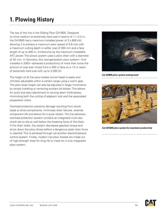The top of the line is the Gliding Plow GH1600. Designed to mine medium to extremely hard coal in seams of 1.1–2.3 m, the GH1600 has a maximum installed power of 2 x 800 kW, allowing it to achieve a maximum plow speed of 3.6 m/s with a maximum cutting depth in softer coal of 250 mm and a face length of up to 400 m, limited only by the maximum installable AFC power. This plows system uses a plow chain with a diameter of 42 mm. In Germany, this next-generation plow system—first installed in 2003—achieved a productivity of more than twice the amount of coal ever mined from a 400 m face on a 1.5 m seam of extremely hard coal with up to 3,500 t/h.

The height of all Cat plow bodies (turret head) is easily and infinitely adjustable within a certain range using a worm gear. The plow body height can also be adjusted in larger increments by simply installing or removing auxiliary bit blocks. This allows for quick and easy adjustment to varying seam thicknesses, minimizing both the cutting of adjacent rock and the associated preparation costs.

Overload protection prevents damage resulting from shock loads to drive components, minimizes chain failures, extends component life and allows for a quick restart. The Cat planetary overload protection system contains an integrated multi-disc clutch set to slip at well below the breaking force of the chain. If the chain stalls, the system decreases gearbox torque and shuts down the plow drives before a dangerous peak chain force is reached. This is achieved through yet another electrohydraulic control system. Finally, modern Cat plow shields are made out of high-strength steel for long life to make for a truly integrated plow system.



*Cat GH800 plow system underground*



*Cat GH1600 plow system for maximum productivity*

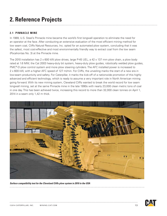### **2. Reference Projects**

#### **2.1 Pinnacle Mine**

In 1989, U.S. Steel's Pinnacle mine became the world's first longwall operation to eliminate the need for an operator at the face. After conducting an extensive evaluation of the most efficient mining method for low seam coal, Cliffs Natural Resources, Inc. opted for an automated plow system, concluding that it was the safest, most cost-effective and most environmentally friendly way to extract coal from the low seam (Pocahontas No. 3) at the Pinnacle mine.

The 2010 installation has 2 x 600 kW plow drives, large P-45 UEL, a 42 x 137 mm plow chain, a plow body rated at 1.6 MW, the Cat 2003 heavy-duty bit system, heavy-duty plow guides, robotically welded plow guides, PMC®-D plow control system and more plow steering cylinders. The AFC installed power is increased to 2 x 600 kW, with a higher AFC speed of 127 m/min. For Cliffs, the unveiling marks the start of a new era in low-seam productivity and safety. For Caterpillar, it marks the kick-off of a nationwide promotion of this highly advanced and efficient technology, which is ready to assume a very important role in North American mining going forward. With its new mining system, Cleveland Cliffs wanted to break the world record for low seam longwall mining, set at the same Pinnacle mine in the late 1990s with nearly 23,000 clean metric tons of coal in one day. This has been achieved twice, increasing this record to more than 32,000 clean tonnes on April 1, 2014 in a seam only 1,42 m thick.



*Surface compatibility test for the Cleveland Cliffs plow system in 2010 in the USA*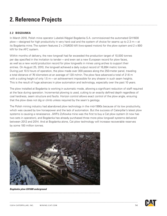### **2. Reference Projects**

#### **2.2 bogdanka**

In March 2010, Polish mine operator Lubelski Węgiel Bogdanka S.A. commissioned the automated GH1600 plow—designed for high productivity in very hard coal and the system of choice for seams up to 2.3 m—at its Bogdanka mine. The system features  $2 \times 210/630$  kW (two-speed motors) for the plow system and  $2 \times 800$ kW for the AFC system.

Within months of delivery, the new longwall had far exceeded the production target of 10,000 tonnes per day specified in the invitation to tender—and even set a new European record for plow faces, as well as a new world production record for plow longwalls in mines using arches to support their entries. On August 25, 2010, the longwall achieved a daily output record of 16,894 metric tonnes. During just 10.5 hours of operation, the plow made over 300 passes along the 250-meter panel, traveling a total distance of 76 kilometers at an average of 120 m/min. The plow face advanced a total of 21.6 m with a cutting height of only 1.5 m—an achievement impossible for any shearer in such seam heights. This is the result of huge advances in plow automation and technology, especially over the past 10 years.

The plow installed at Bogdanka is working in automatic mode, allowing a significant reduction of staff required at the face during operation. Incremental plowing is used, cutting to an exactly defined depth regardless of coal hardness, seam structure and faults. Horizon control allows exact control of the plow angle, ensuring that the plow does not dig or climb unless required by the seam's geology.

The Polish mining industry had abandoned plow technology in the mid-1990s because of its low productivity, which was caused by low horsepower and the lack of automation. But the success of Caterpillar's latest plow systems is causing a renaissance. JWR's Zofiowka mine was the first to buy a Cat plow system (it now has two sets in operation), and Bogdanka has already purchased three more plow longwall systems delivered between 2012 and 2014. And at Bogdanka alone, Cat plow technology will increase recoverable reserves by some 100 million tonnes.



*Bogdanka plow GH1600 underground*

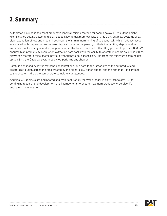### **3. Summary**

Automated plowing is the most productive longwall mining method for seams below 1.8 m cutting height. High installed cutting power and plow speed allow a maximum capacity of 3,500 t/h. Cat plow systems allow clean extraction of low and medium coal seams with minimum mining of adjacent rock, which reduces costs associated with preparation and refuse disposal. Incremental plowing with defined cutting depths and full automation without any operator being required at the face, combined with cutting power of up to  $2 \times 800$  kW, ensures high productivity even when extracting hard coal. With the ability to operate in seams as low as 0.8 m, plows can therefore mine seams previously thought to be inaccessible. And from this minimum seam height up to 1.8 m, the Cat plow system easily outperforms any shearer.

Safety is enhanced by lower methane concentrations (due both to the larger size of the cut product and greater distribution across the face created by the higher plow transit speed) and the fact that—in contrast to the shearer—the plow can operate completely unattended.

And finally, Cat plows are engineered and manufactured by the world leader in plow technology—with continuing research and development of all components to ensure maximum productivity, service life and return on investment.

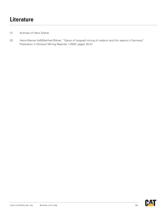### **Literature**

- [1] Archives of Hans Dreher.
- [2] Heinz-Werner Voß/Manfred Bittner: "Status of longwall mining of medium and thin seams in Germany". Publication in Glückauf Mining Reporter 1-2003; pages 20-27.